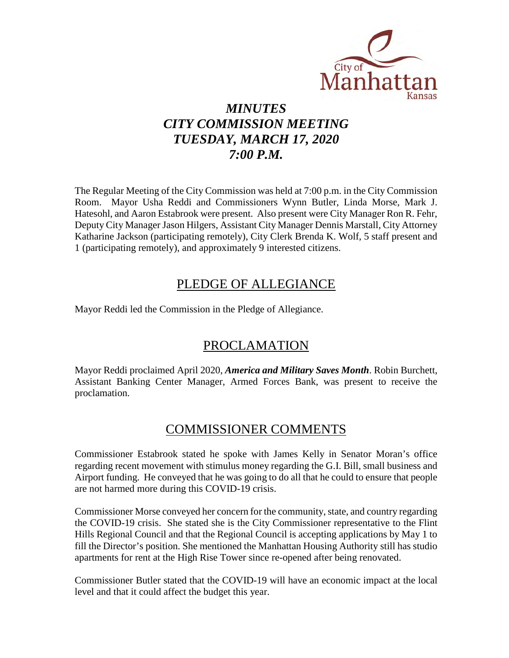

# *MINUTES CITY COMMISSION MEETING TUESDAY, MARCH 17, 2020 7:00 P.M.*

The Regular Meeting of the City Commission was held at 7:00 p.m. in the City Commission Room. Mayor Usha Reddi and Commissioners Wynn Butler, Linda Morse, Mark J. Hatesohl, and Aaron Estabrook were present. Also present were City Manager Ron R. Fehr, Deputy City Manager Jason Hilgers, Assistant City Manager Dennis Marstall, City Attorney Katharine Jackson (participating remotely), City Clerk Brenda K. Wolf, 5 staff present and 1 (participating remotely), and approximately 9 interested citizens.

# PLEDGE OF ALLEGIANCE

Mayor Reddi led the Commission in the Pledge of Allegiance.

# PROCLAMATION

Mayor Reddi proclaimed April 2020, *America and Military Saves Month*. Robin Burchett, Assistant Banking Center Manager, Armed Forces Bank, was present to receive the proclamation.

# COMMISSIONER COMMENTS

Commissioner Estabrook stated he spoke with James Kelly in Senator Moran's office regarding recent movement with stimulus money regarding the G.I. Bill, small business and Airport funding. He conveyed that he was going to do all that he could to ensure that people are not harmed more during this COVID-19 crisis.

Commissioner Morse conveyed her concern for the community, state, and country regarding the COVID-19 crisis. She stated she is the City Commissioner representative to the Flint Hills Regional Council and that the Regional Council is accepting applications by May 1 to fill the Director's position. She mentioned the Manhattan Housing Authority still has studio apartments for rent at the High Rise Tower since re-opened after being renovated.

Commissioner Butler stated that the COVID-19 will have an economic impact at the local level and that it could affect the budget this year.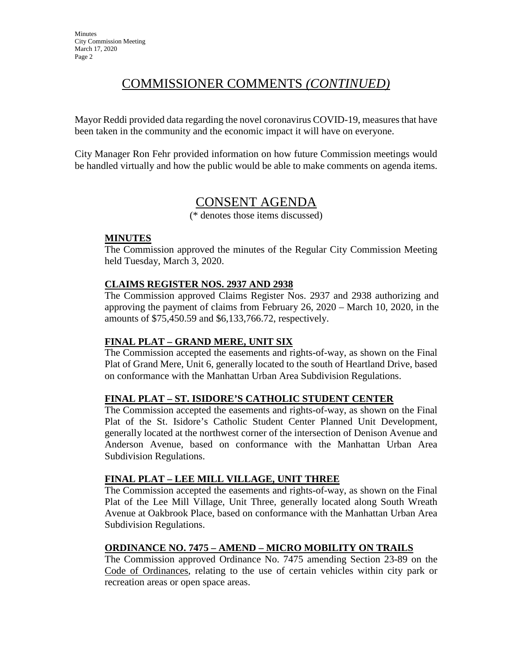# COMMISSIONER COMMENTS *(CONTINUED)*

Mayor Reddi provided data regarding the novel coronavirus COVID-19, measures that have been taken in the community and the economic impact it will have on everyone.

City Manager Ron Fehr provided information on how future Commission meetings would be handled virtually and how the public would be able to make comments on agenda items.

# CONSENT AGENDA

(\* denotes those items discussed)

### **MINUTES**

The Commission approved the minutes of the Regular City Commission Meeting held Tuesday, March 3, 2020.

## **CLAIMS REGISTER NOS. 2937 AND 2938**

The Commission approved Claims Register Nos. 2937 and 2938 authorizing and approving the payment of claims from February 26, 2020 – March 10, 2020, in the amounts of \$75,450.59 and \$6,133,766.72, respectively.

## **FINAL PLAT – GRAND MERE, UNIT SIX**

The Commission accepted the easements and rights-of-way, as shown on the Final Plat of Grand Mere, Unit 6, generally located to the south of Heartland Drive, based on conformance with the Manhattan Urban Area Subdivision Regulations.

## **FINAL PLAT – ST. ISIDORE'S CATHOLIC STUDENT CENTER**

The Commission accepted the easements and rights-of-way, as shown on the Final Plat of the St. Isidore's Catholic Student Center Planned Unit Development, generally located at the northwest corner of the intersection of Denison Avenue and Anderson Avenue, based on conformance with the Manhattan Urban Area Subdivision Regulations.

## **FINAL PLAT – LEE MILL VILLAGE, UNIT THREE**

The Commission accepted the easements and rights-of-way, as shown on the Final Plat of the Lee Mill Village, Unit Three, generally located along South Wreath Avenue at Oakbrook Place, based on conformance with the Manhattan Urban Area Subdivision Regulations.

# **ORDINANCE NO. 7475 – AMEND – MICRO MOBILITY ON TRAILS**

The Commission approved Ordinance No. 7475 amending Section 23-89 on the Code of Ordinances, relating to the use of certain vehicles within city park or recreation areas or open space areas.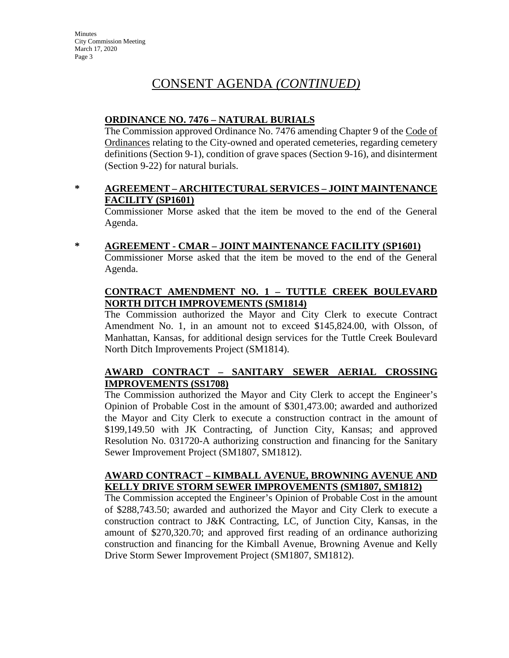# CONSENT AGENDA *(CONTINUED)*

## **ORDINANCE NO. 7476 – NATURAL BURIALS**

The Commission approved Ordinance No. 7476 amending Chapter 9 of the Code of Ordinances relating to the City-owned and operated cemeteries, regarding cemetery definitions (Section 9-1), condition of grave spaces (Section 9-16), and disinterment (Section 9-22) for natural burials.

### **\* AGREEMENT – ARCHITECTURAL SERVICES – JOINT MAINTENANCE FACILITY (SP1601)**

Commissioner Morse asked that the item be moved to the end of the General Agenda.

#### **\* AGREEMENT - CMAR – JOINT MAINTENANCE FACILITY (SP1601)**

Commissioner Morse asked that the item be moved to the end of the General Agenda.

### **CONTRACT AMENDMENT NO. 1 – TUTTLE CREEK BOULEVARD NORTH DITCH IMPROVEMENTS (SM1814)**

The Commission authorized the Mayor and City Clerk to execute Contract Amendment No. 1, in an amount not to exceed \$145,824.00, with Olsson, of Manhattan, Kansas, for additional design services for the Tuttle Creek Boulevard North Ditch Improvements Project (SM1814).

## **AWARD CONTRACT – SANITARY SEWER AERIAL CROSSING IMPROVEMENTS (SS1708)**

The Commission authorized the Mayor and City Clerk to accept the Engineer's Opinion of Probable Cost in the amount of \$301,473.00; awarded and authorized the Mayor and City Clerk to execute a construction contract in the amount of \$199,149.50 with JK Contracting, of Junction City, Kansas; and approved Resolution No. 031720-A authorizing construction and financing for the Sanitary Sewer Improvement Project (SM1807, SM1812).

#### **AWARD CONTRACT – KIMBALL AVENUE, BROWNING AVENUE AND KELLY DRIVE STORM SEWER IMPROVEMENTS (SM1807, SM1812)**

The Commission accepted the Engineer's Opinion of Probable Cost in the amount of \$288,743.50; awarded and authorized the Mayor and City Clerk to execute a construction contract to J&K Contracting, LC, of Junction City, Kansas, in the amount of \$270,320.70; and approved first reading of an ordinance authorizing construction and financing for the Kimball Avenue, Browning Avenue and Kelly Drive Storm Sewer Improvement Project (SM1807, SM1812).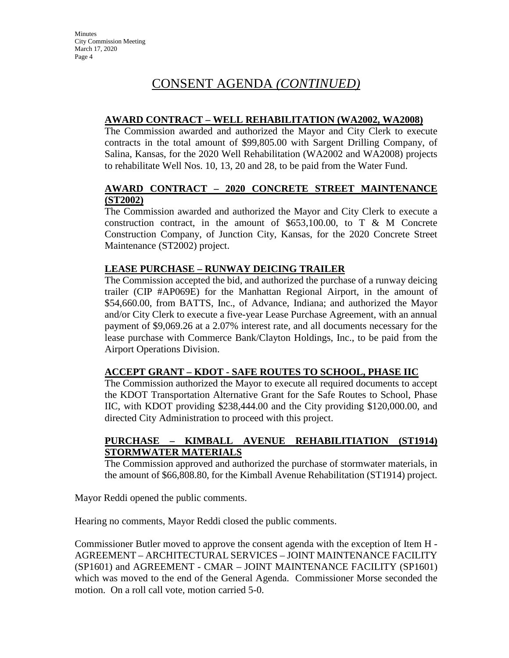# CONSENT AGENDA *(CONTINUED)*

## **AWARD CONTRACT – WELL REHABILITATION (WA2002, WA2008)**

The Commission awarded and authorized the Mayor and City Clerk to execute contracts in the total amount of \$99,805.00 with Sargent Drilling Company, of Salina, Kansas, for the 2020 Well Rehabilitation (WA2002 and WA2008) projects to rehabilitate Well Nos. 10, 13, 20 and 28, to be paid from the Water Fund.

### **AWARD CONTRACT – 2020 CONCRETE STREET MAINTENANCE (ST2002)**

The Commission awarded and authorized the Mayor and City Clerk to execute a construction contract, in the amount of  $$653,100.00$ , to T & M Concrete Construction Company, of Junction City, Kansas, for the 2020 Concrete Street Maintenance (ST2002) project.

# **LEASE PURCHASE – RUNWAY DEICING TRAILER**

The Commission accepted the bid, and authorized the purchase of a runway deicing trailer (CIP #AP069E) for the Manhattan Regional Airport, in the amount of \$54,660.00, from BATTS, Inc., of Advance, Indiana; and authorized the Mayor and/or City Clerk to execute a five-year Lease Purchase Agreement, with an annual payment of \$9,069.26 at a 2.07% interest rate, and all documents necessary for the lease purchase with Commerce Bank/Clayton Holdings, Inc., to be paid from the Airport Operations Division.

## **ACCEPT GRANT – KDOT - SAFE ROUTES TO SCHOOL, PHASE IIC**

The Commission authorized the Mayor to execute all required documents to accept the KDOT Transportation Alternative Grant for the Safe Routes to School, Phase IIC, with KDOT providing \$238,444.00 and the City providing \$120,000.00, and directed City Administration to proceed with this project.

## **PURCHASE – KIMBALL AVENUE REHABILITIATION (ST1914) STORMWATER MATERIALS**

The Commission approved and authorized the purchase of stormwater materials, in the amount of \$66,808.80, for the Kimball Avenue Rehabilitation (ST1914) project.

Mayor Reddi opened the public comments.

Hearing no comments, Mayor Reddi closed the public comments.

Commissioner Butler moved to approve the consent agenda with the exception of Item H - AGREEMENT – ARCHITECTURAL SERVICES – JOINT MAINTENANCE FACILITY (SP1601) and AGREEMENT - CMAR – JOINT MAINTENANCE FACILITY (SP1601) which was moved to the end of the General Agenda. Commissioner Morse seconded the motion. On a roll call vote, motion carried 5-0.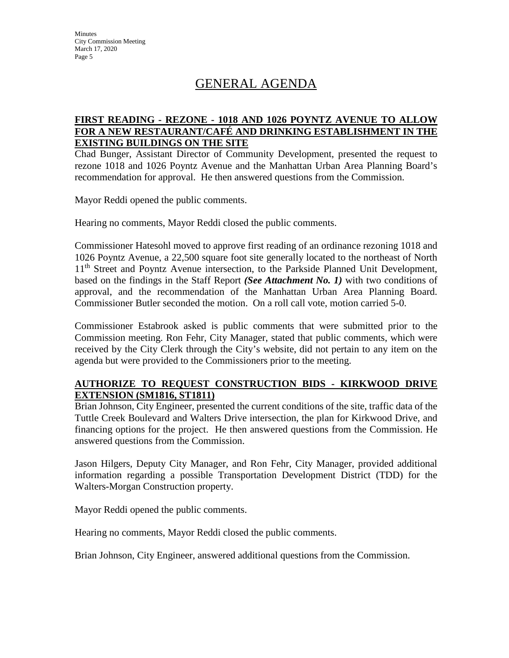# GENERAL AGENDA

## **FIRST READING - REZONE - 1018 AND 1026 POYNTZ AVENUE TO ALLOW FOR A NEW RESTAURANT/CAFÉ AND DRINKING ESTABLISHMENT IN THE EXISTING BUILDINGS ON THE SITE**

Chad Bunger, Assistant Director of Community Development, presented the request to rezone 1018 and 1026 Poyntz Avenue and the Manhattan Urban Area Planning Board's recommendation for approval. He then answered questions from the Commission.

Mayor Reddi opened the public comments.

Hearing no comments, Mayor Reddi closed the public comments.

Commissioner Hatesohl moved to approve first reading of an ordinance rezoning 1018 and 1026 Poyntz Avenue, a 22,500 square foot site generally located to the northeast of North 11<sup>th</sup> Street and Poyntz Avenue intersection, to the Parkside Planned Unit Development, based on the findings in the Staff Report *(See Attachment No. 1)* with two conditions of approval, and the recommendation of the Manhattan Urban Area Planning Board. Commissioner Butler seconded the motion. On a roll call vote, motion carried 5-0.

Commissioner Estabrook asked is public comments that were submitted prior to the Commission meeting. Ron Fehr, City Manager, stated that public comments, which were received by the City Clerk through the City's website, did not pertain to any item on the agenda but were provided to the Commissioners prior to the meeting.

## **AUTHORIZE TO REQUEST CONSTRUCTION BIDS - KIRKWOOD DRIVE EXTENSION (SM1816, ST1811)**

Brian Johnson, City Engineer, presented the current conditions of the site, traffic data of the Tuttle Creek Boulevard and Walters Drive intersection, the plan for Kirkwood Drive, and financing options for the project. He then answered questions from the Commission. He answered questions from the Commission.

Jason Hilgers, Deputy City Manager, and Ron Fehr, City Manager, provided additional information regarding a possible Transportation Development District (TDD) for the Walters-Morgan Construction property.

Mayor Reddi opened the public comments.

Hearing no comments, Mayor Reddi closed the public comments.

Brian Johnson, City Engineer, answered additional questions from the Commission.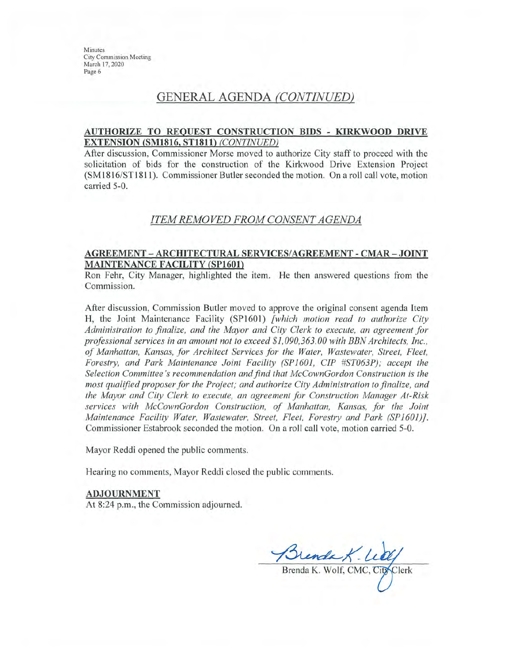# **GENERAL AGENDA (CONTINUED)**

#### AUTHORIZE TO REQUEST CONSTRUCTION BIDS - KIRKWOOD DRIVE **EXTENSION (SM1816, ST1811) (CONTINUED)**

After discussion, Commissioner Morse moved to authorize City staff to proceed with the solicitation of bids for the construction of the Kirkwood Drive Extension Project (SM1816/ST1811). Commissioner Butler seconded the motion. On a roll call vote, motion carried 5-0.

#### ITEM REMOVED FROM CONSENT AGENDA

#### AGREEMENT – ARCHITECTURAL SERVICES/AGREEMENT - CMAR – JOINT **MAINTENANCE FACILITY (SP1601)**

Ron Fehr, City Manager, highlighted the item. He then answered questions from the Commission.

After discussion, Commission Butler moved to approve the original consent agenda Item H, the Joint Maintenance Facility (SP1601) [which motion read to authorize City Administration to finalize, and the Mayor and City Clerk to execute, an agreement for professional services in an amount not to exceed \$1,090,363.00 with BBN Architects, Inc., of Manhattan, Kansas, for Architect Services for the Water, Wastewater, Street, Fleet, Forestry, and Park Maintenance Joint Facility (SP1601, CIP #ST063P); accept the Selection Committee's recommendation and find that McCownGordon Construction is the most qualified proposer for the Project; and authorize City Administration to finalize, and the Mayor and City Clerk to execute, an agreement for Construction Manager At-Risk services with McCownGordon Construction, of Manhattan, Kansas, for the Joint Maintenance Facility Water, Wastewater, Street, Fleet, Forestry and Park (SP1601)]. Commissioner Estabrook seconded the motion. On a roll call vote, motion carried 5-0.

Mayor Reddi opened the public comments.

Hearing no comments, Mayor Reddi closed the public comments.

#### **ADJOURNMENT**

At 8:24 p.m., the Commission adjourned.

Brenda K. Lety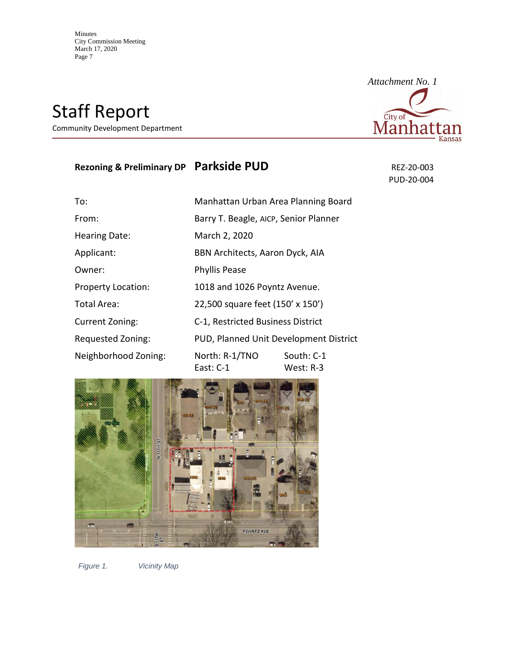Staff Report

Community Development Department

# **Rezoning & Preliminary DP Parkside PUD** REZ-20-003

PUD-20-004

| To:                       | Manhattan Urban Area Planning Board    |                         |
|---------------------------|----------------------------------------|-------------------------|
| From:                     | Barry T. Beagle, AICP, Senior Planner  |                         |
| <b>Hearing Date:</b>      | March 2, 2020                          |                         |
| Applicant:                | BBN Architects, Aaron Dyck, AIA        |                         |
| Owner:                    | <b>Phyllis Pease</b>                   |                         |
| <b>Property Location:</b> | 1018 and 1026 Poyntz Avenue.           |                         |
| Total Area:               | 22,500 square feet (150' x 150')       |                         |
| Current Zoning:           | C-1, Restricted Business District      |                         |
| Requested Zoning:         | PUD, Planned Unit Development District |                         |
| Neighborhood Zoning:      | North: R-1/TNO<br>East: C-1            | South: C-1<br>West: R-3 |



*Figure 1. Vicinity Map*

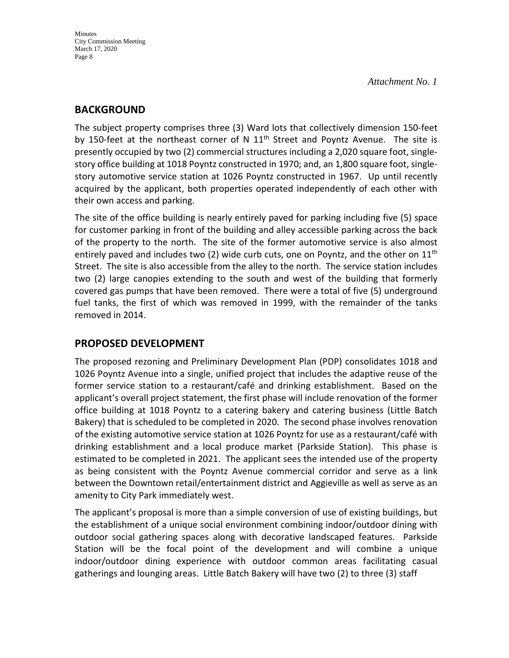# **BACKGROUND**

The subject property comprises three (3) Ward lots that collectively dimension 150-feet by 150-feet at the northeast corner of N  $11<sup>th</sup>$  Street and Poyntz Avenue. The site is presently occupied by two (2) commercial structures including a 2,020 square foot, singlestory office building at 1018 Poyntz constructed in 1970; and, an 1,800 square foot, singlestory automotive service station at 1026 Poyntz constructed in 1967. Up until recently acquired by the applicant, both properties operated independently of each other with their own access and parking.

The site of the office building is nearly entirely paved for parking including five (5) space for customer parking in front of the building and alley accessible parking across the back of the property to the north. The site of the former automotive service is also almost entirely paved and includes two (2) wide curb cuts, one on Poyntz, and the other on  $11<sup>th</sup>$ Street. The site is also accessible from the alley to the north. The service station includes two (2) large canopies extending to the south and west of the building that formerly covered gas pumps that have been removed. There were a total of five (5) underground fuel tanks, the first of which was removed in 1999, with the remainder of the tanks removed in 2014.

# **PROPOSED DEVELOPMENT**

The proposed rezoning and Preliminary Development Plan (PDP) consolidates 1018 and 1026 Poyntz Avenue into a single, unified project that includes the adaptive reuse of the former service station to a restaurant/café and drinking establishment. Based on the applicant's overall project statement, the first phase will include renovation of the former office building at 1018 Poyntz to a catering bakery and catering business (Little Batch Bakery) that is scheduled to be completed in 2020. The second phase involves renovation of the existing automotive service station at 1026 Poyntz for use as a restaurant/café with drinking establishment and a local produce market (Parkside Station). This phase is estimated to be completed in 2021. The applicant sees the intended use of the property as being consistent with the Poyntz Avenue commercial corridor and serve as a link between the Downtown retail/entertainment district and Aggieville as well as serve as an amenity to City Park immediately west.

The applicant's proposal is more than a simple conversion of use of existing buildings, but the establishment of a unique social environment combining indoor/outdoor dining with outdoor social gathering spaces along with decorative landscaped features. Parkside Station will be the focal point of the development and will combine a unique indoor/outdoor dining experience with outdoor common areas facilitating casual gatherings and lounging areas. Little Batch Bakery will have two (2) to three (3) staff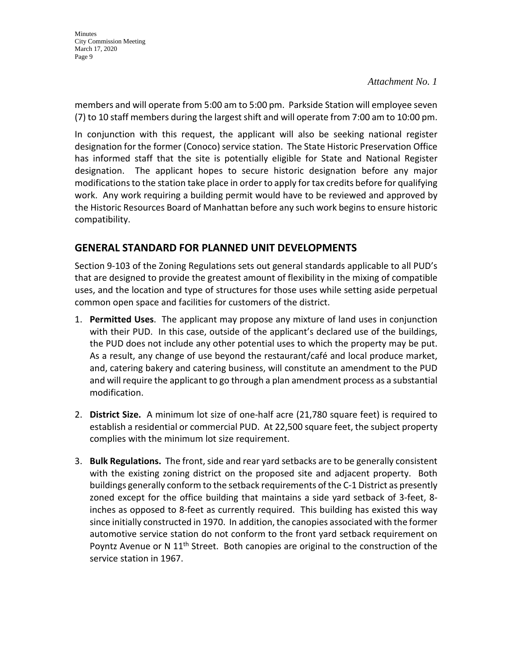members and will operate from 5:00 am to 5:00 pm. Parkside Station will employee seven (7) to 10 staff members during the largest shift and will operate from 7:00 am to 10:00 pm.

In conjunction with this request, the applicant will also be seeking national register designation for the former (Conoco) service station. The State Historic Preservation Office has informed staff that the site is potentially eligible for State and National Register designation. The applicant hopes to secure historic designation before any major modifications to the station take place in order to apply for tax credits before for qualifying work. Any work requiring a building permit would have to be reviewed and approved by the Historic Resources Board of Manhattan before any such work begins to ensure historic compatibility.

# **GENERAL STANDARD FOR PLANNED UNIT DEVELOPMENTS**

Section 9-103 of the Zoning Regulations sets out general standards applicable to all PUD's that are designed to provide the greatest amount of flexibility in the mixing of compatible uses, and the location and type of structures for those uses while setting aside perpetual common open space and facilities for customers of the district.

- 1. **Permitted Uses**. The applicant may propose any mixture of land uses in conjunction with their PUD. In this case, outside of the applicant's declared use of the buildings, the PUD does not include any other potential uses to which the property may be put. As a result, any change of use beyond the restaurant/café and local produce market, and, catering bakery and catering business, will constitute an amendment to the PUD and will require the applicant to go through a plan amendment process as a substantial modification.
- 2. **District Size.** A minimum lot size of one-half acre (21,780 square feet) is required to establish a residential or commercial PUD. At 22,500 square feet, the subject property complies with the minimum lot size requirement.
- 3. **Bulk Regulations.** The front, side and rear yard setbacks are to be generally consistent with the existing zoning district on the proposed site and adjacent property. Both buildings generally conform to the setback requirements of the C-1 District as presently zoned except for the office building that maintains a side yard setback of 3-feet, 8 inches as opposed to 8-feet as currently required. This building has existed this way since initially constructed in 1970. In addition, the canopies associated with the former automotive service station do not conform to the front yard setback requirement on Poyntz Avenue or N 11<sup>th</sup> Street. Both canopies are original to the construction of the service station in 1967.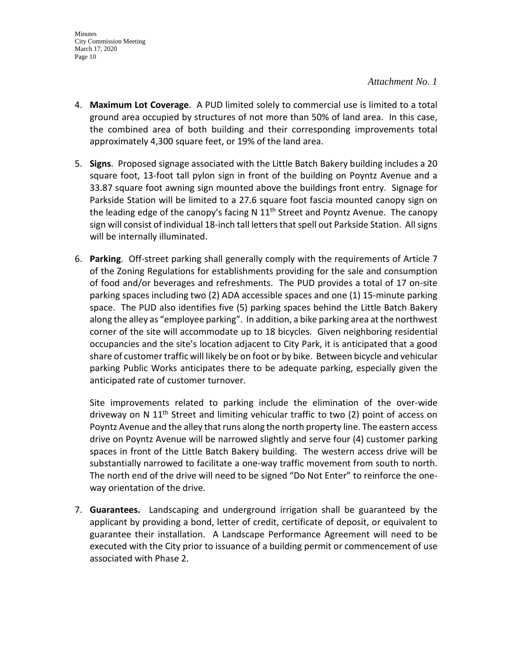- 4. **Maximum Lot Coverage**. A PUD limited solely to commercial use is limited to a total ground area occupied by structures of not more than 50% of land area. In this case, the combined area of both building and their corresponding improvements total approximately 4,300 square feet, or 19% of the land area.
- 5. **Signs**. Proposed signage associated with the Little Batch Bakery building includes a 20 square foot, 13-foot tall pylon sign in front of the building on Poyntz Avenue and a 33.87 square foot awning sign mounted above the buildings front entry. Signage for Parkside Station will be limited to a 27.6 square foot fascia mounted canopy sign on the leading edge of the canopy's facing N  $11<sup>th</sup>$  Street and Poyntz Avenue. The canopy sign will consist of individual 18-inch tall letters that spell out Parkside Station. All signs will be internally illuminated.
- 6. **Parking**. Off-street parking shall generally comply with the requirements of Article 7 of the Zoning Regulations for establishments providing for the sale and consumption of food and/or beverages and refreshments. The PUD provides a total of 17 on-site parking spaces including two (2) ADA accessible spaces and one (1) 15-minute parking space. The PUD also identifies five (5) parking spaces behind the Little Batch Bakery along the alley as "employee parking". In addition, a bike parking area at the northwest corner of the site will accommodate up to 18 bicycles. Given neighboring residential occupancies and the site's location adjacent to City Park, it is anticipated that a good share of customer traffic will likely be on foot or by bike. Between bicycle and vehicular parking Public Works anticipates there to be adequate parking, especially given the anticipated rate of customer turnover.

Site improvements related to parking include the elimination of the over-wide driveway on N  $11<sup>th</sup>$  Street and limiting vehicular traffic to two (2) point of access on Poyntz Avenue and the alley that runs along the north property line. The eastern access drive on Poyntz Avenue will be narrowed slightly and serve four (4) customer parking spaces in front of the Little Batch Bakery building. The western access drive will be substantially narrowed to facilitate a one-way traffic movement from south to north. The north end of the drive will need to be signed "Do Not Enter" to reinforce the oneway orientation of the drive.

7. **Guarantees.** Landscaping and underground irrigation shall be guaranteed by the applicant by providing a bond, letter of credit, certificate of deposit, or equivalent to guarantee their installation. A Landscape Performance Agreement will need to be executed with the City prior to issuance of a building permit or commencement of use associated with Phase 2.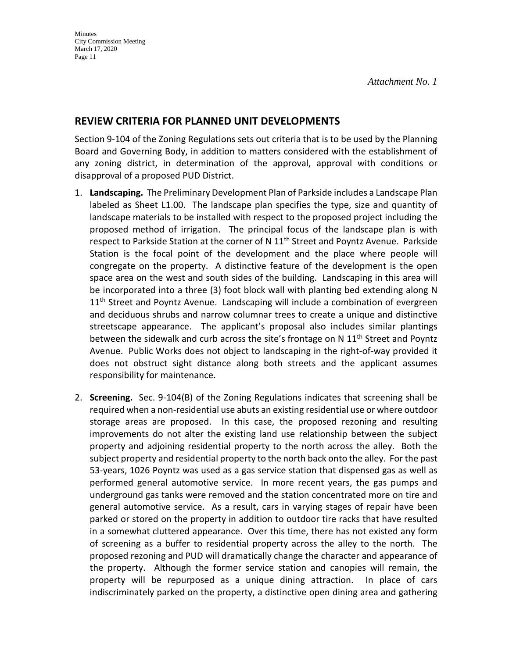# **REVIEW CRITERIA FOR PLANNED UNIT DEVELOPMENTS**

Section 9-104 of the Zoning Regulations sets out criteria that is to be used by the Planning Board and Governing Body, in addition to matters considered with the establishment of any zoning district, in determination of the approval, approval with conditions or disapproval of a proposed PUD District.

- 1. **Landscaping.** The Preliminary Development Plan of Parkside includes a Landscape Plan labeled as Sheet L1.00. The landscape plan specifies the type, size and quantity of landscape materials to be installed with respect to the proposed project including the proposed method of irrigation. The principal focus of the landscape plan is with respect to Parkside Station at the corner of N 11<sup>th</sup> Street and Poyntz Avenue. Parkside Station is the focal point of the development and the place where people will congregate on the property. A distinctive feature of the development is the open space area on the west and south sides of the building. Landscaping in this area will be incorporated into a three (3) foot block wall with planting bed extending along N 11<sup>th</sup> Street and Poyntz Avenue. Landscaping will include a combination of evergreen and deciduous shrubs and narrow columnar trees to create a unique and distinctive streetscape appearance. The applicant's proposal also includes similar plantings between the sidewalk and curb across the site's frontage on N 11<sup>th</sup> Street and Poyntz Avenue. Public Works does not object to landscaping in the right-of-way provided it does not obstruct sight distance along both streets and the applicant assumes responsibility for maintenance.
- 2. **Screening.** Sec. 9-104(B) of the Zoning Regulations indicates that screening shall be required when a non-residential use abuts an existing residential use or where outdoor storage areas are proposed. In this case, the proposed rezoning and resulting improvements do not alter the existing land use relationship between the subject property and adjoining residential property to the north across the alley. Both the subject property and residential property to the north back onto the alley. For the past 53-years, 1026 Poyntz was used as a gas service station that dispensed gas as well as performed general automotive service. In more recent years, the gas pumps and underground gas tanks were removed and the station concentrated more on tire and general automotive service. As a result, cars in varying stages of repair have been parked or stored on the property in addition to outdoor tire racks that have resulted in a somewhat cluttered appearance. Over this time, there has not existed any form of screening as a buffer to residential property across the alley to the north. The proposed rezoning and PUD will dramatically change the character and appearance of the property. Although the former service station and canopies will remain, the property will be repurposed as a unique dining attraction. In place of cars indiscriminately parked on the property, a distinctive open dining area and gathering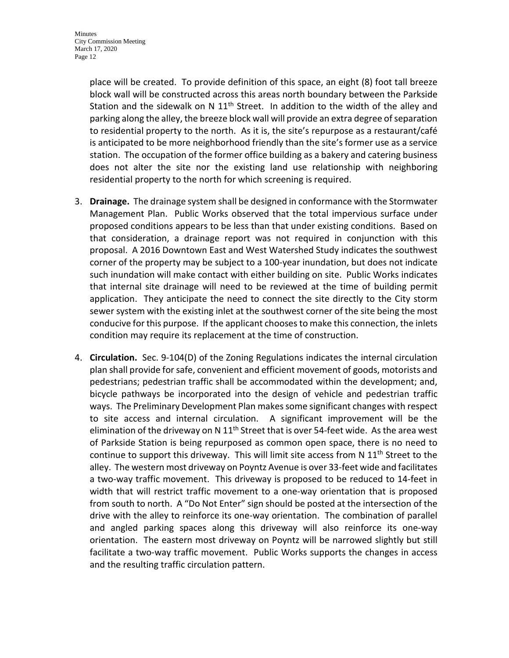place will be created. To provide definition of this space, an eight (8) foot tall breeze block wall will be constructed across this areas north boundary between the Parkside Station and the sidewalk on N  $11<sup>th</sup>$  Street. In addition to the width of the alley and parking along the alley, the breeze block wall will provide an extra degree of separation to residential property to the north. As it is, the site's repurpose as a restaurant/café is anticipated to be more neighborhood friendly than the site's former use as a service station. The occupation of the former office building as a bakery and catering business does not alter the site nor the existing land use relationship with neighboring residential property to the north for which screening is required.

- 3. **Drainage.** The drainage system shall be designed in conformance with the Stormwater Management Plan. Public Works observed that the total impervious surface under proposed conditions appears to be less than that under existing conditions. Based on that consideration, a drainage report was not required in conjunction with this proposal. A 2016 Downtown East and West Watershed Study indicates the southwest corner of the property may be subject to a 100-year inundation, but does not indicate such inundation will make contact with either building on site. Public Works indicates that internal site drainage will need to be reviewed at the time of building permit application. They anticipate the need to connect the site directly to the City storm sewer system with the existing inlet at the southwest corner of the site being the most conducive for this purpose. If the applicant chooses to make this connection, the inlets condition may require its replacement at the time of construction.
- 4. **Circulation.** Sec. 9-104(D) of the Zoning Regulations indicates the internal circulation plan shall provide for safe, convenient and efficient movement of goods, motorists and pedestrians; pedestrian traffic shall be accommodated within the development; and, bicycle pathways be incorporated into the design of vehicle and pedestrian traffic ways. The Preliminary Development Plan makes some significant changes with respect to site access and internal circulation. A significant improvement will be the elimination of the driveway on N  $11<sup>th</sup>$  Street that is over 54-feet wide. As the area west of Parkside Station is being repurposed as common open space, there is no need to continue to support this driveway. This will limit site access from N  $11<sup>th</sup>$  Street to the alley. The western most driveway on Poyntz Avenue is over 33-feet wide and facilitates a two-way traffic movement. This driveway is proposed to be reduced to 14-feet in width that will restrict traffic movement to a one-way orientation that is proposed from south to north. A "Do Not Enter" sign should be posted at the intersection of the drive with the alley to reinforce its one-way orientation. The combination of parallel and angled parking spaces along this driveway will also reinforce its one-way orientation. The eastern most driveway on Poyntz will be narrowed slightly but still facilitate a two-way traffic movement. Public Works supports the changes in access and the resulting traffic circulation pattern.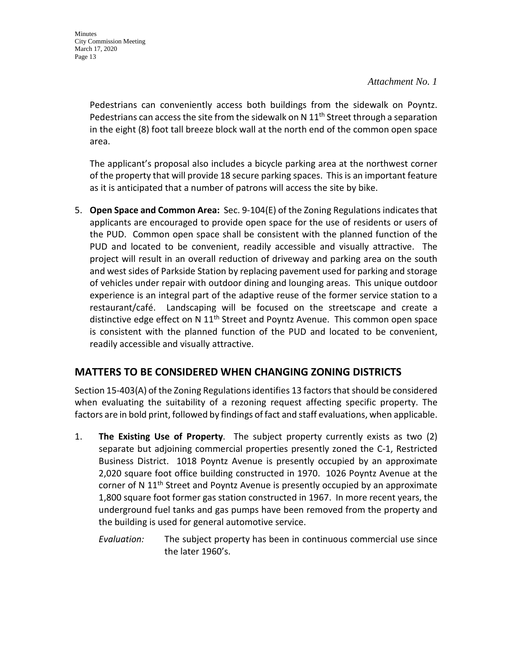Pedestrians can conveniently access both buildings from the sidewalk on Poyntz. Pedestrians can access the site from the sidewalk on  $N$  11<sup>th</sup> Street through a separation in the eight (8) foot tall breeze block wall at the north end of the common open space area.

The applicant's proposal also includes a bicycle parking area at the northwest corner of the property that will provide 18 secure parking spaces. This is an important feature as it is anticipated that a number of patrons will access the site by bike.

5. **Open Space and Common Area:** Sec. 9-104(E) of the Zoning Regulations indicates that applicants are encouraged to provide open space for the use of residents or users of the PUD. Common open space shall be consistent with the planned function of the PUD and located to be convenient, readily accessible and visually attractive. The project will result in an overall reduction of driveway and parking area on the south and west sides of Parkside Station by replacing pavement used for parking and storage of vehicles under repair with outdoor dining and lounging areas. This unique outdoor experience is an integral part of the adaptive reuse of the former service station to a restaurant/café. Landscaping will be focused on the streetscape and create a distinctive edge effect on N  $11<sup>th</sup>$  Street and Poyntz Avenue. This common open space is consistent with the planned function of the PUD and located to be convenient, readily accessible and visually attractive.

# **MATTERS TO BE CONSIDERED WHEN CHANGING ZONING DISTRICTS**

Section 15-403(A) of the Zoning Regulations identifies 13 factors that should be considered when evaluating the suitability of a rezoning request affecting specific property. The factors are in bold print, followed by findings of fact and staff evaluations, when applicable.

- 1. **The Existing Use of Property**. The subject property currently exists as two (2) separate but adjoining commercial properties presently zoned the C-1, Restricted Business District. 1018 Poyntz Avenue is presently occupied by an approximate 2,020 square foot office building constructed in 1970. 1026 Poyntz Avenue at the corner of N 11<sup>th</sup> Street and Poyntz Avenue is presently occupied by an approximate 1,800 square foot former gas station constructed in 1967. In more recent years, the underground fuel tanks and gas pumps have been removed from the property and the building is used for general automotive service.
	- *Evaluation:* The subject property has been in continuous commercial use since the later 1960's.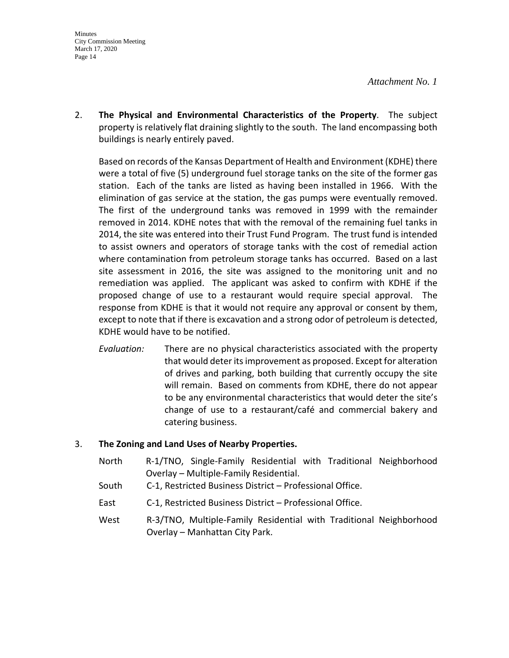2. **The Physical and Environmental Characteristics of the Property**. The subject property is relatively flat draining slightly to the south. The land encompassing both buildings is nearly entirely paved.

Based on records of the Kansas Department of Health and Environment (KDHE) there were a total of five (5) underground fuel storage tanks on the site of the former gas station. Each of the tanks are listed as having been installed in 1966. With the elimination of gas service at the station, the gas pumps were eventually removed. The first of the underground tanks was removed in 1999 with the remainder removed in 2014. KDHE notes that with the removal of the remaining fuel tanks in 2014, the site was entered into their Trust Fund Program. The trust fund is intended to assist owners and operators of storage tanks with the cost of remedial action where contamination from petroleum storage tanks has occurred. Based on a last site assessment in 2016, the site was assigned to the monitoring unit and no remediation was applied. The applicant was asked to confirm with KDHE if the proposed change of use to a restaurant would require special approval. The response from KDHE is that it would not require any approval or consent by them, except to note that if there is excavation and a strong odor of petroleum is detected, KDHE would have to be notified.

*Evaluation:* There are no physical characteristics associated with the property that would deter its improvement as proposed. Except for alteration of drives and parking, both building that currently occupy the site will remain. Based on comments from KDHE, there do not appear to be any environmental characteristics that would deter the site's change of use to a restaurant/café and commercial bakery and catering business.

#### 3. **The Zoning and Land Uses of Nearby Properties.**

- North R-1/TNO, Single-Family Residential with Traditional Neighborhood Overlay – Multiple-Family Residential.
- South C-1, Restricted Business District Professional Office.
- East C-1, Restricted Business District Professional Office.
- West R-3/TNO, Multiple-Family Residential with Traditional Neighborhood Overlay – Manhattan City Park.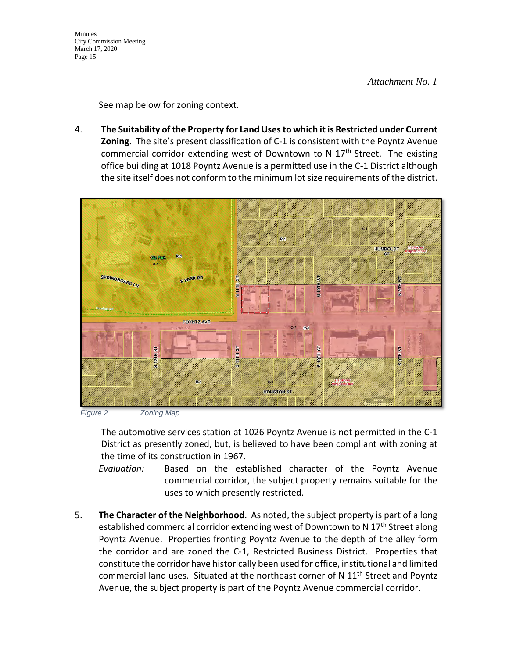*Attachment No. 1*

See map below for zoning context.

4. **The Suitability of the Property for Land Uses to which it is Restricted under Current Zoning**. The site's present classification of C-1 is consistent with the Poyntz Avenue commercial corridor extending west of Downtown to N  $17<sup>th</sup>$  Street. The existing office building at 1018 Poyntz Avenue is a permitted use in the C-1 District although the site itself does not conform to the minimum lot size requirements of the district.



*Figure 2. Zoning Map*

The automotive services station at 1026 Poyntz Avenue is not permitted in the C-1 District as presently zoned, but, is believed to have been compliant with zoning at the time of its construction in 1967.

- *Evaluation:* Based on the established character of the Poyntz Avenue commercial corridor, the subject property remains suitable for the uses to which presently restricted.
- 5. **The Character of the Neighborhood**. As noted, the subject property is part of a long established commercial corridor extending west of Downtown to N 17<sup>th</sup> Street along Poyntz Avenue. Properties fronting Poyntz Avenue to the depth of the alley form the corridor and are zoned the C-1, Restricted Business District. Properties that constitute the corridor have historically been used for office, institutional and limited commercial land uses. Situated at the northeast corner of N 11<sup>th</sup> Street and Poyntz Avenue, the subject property is part of the Poyntz Avenue commercial corridor.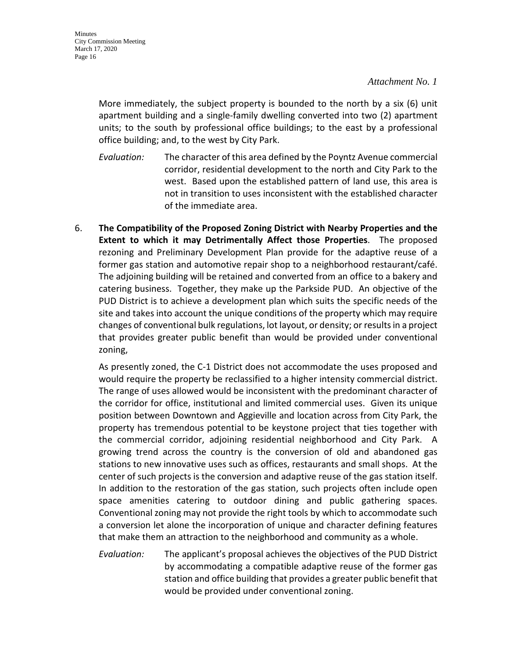More immediately, the subject property is bounded to the north by a six (6) unit apartment building and a single-family dwelling converted into two (2) apartment units; to the south by professional office buildings; to the east by a professional office building; and, to the west by City Park.

- *Evaluation:* The character of this area defined by the Poyntz Avenue commercial corridor, residential development to the north and City Park to the west. Based upon the established pattern of land use, this area is not in transition to uses inconsistent with the established character of the immediate area.
- 6. **The Compatibility of the Proposed Zoning District with Nearby Properties and the Extent to which it may Detrimentally Affect those Properties**. The proposed rezoning and Preliminary Development Plan provide for the adaptive reuse of a former gas station and automotive repair shop to a neighborhood restaurant/café. The adjoining building will be retained and converted from an office to a bakery and catering business. Together, they make up the Parkside PUD. An objective of the PUD District is to achieve a development plan which suits the specific needs of the site and takes into account the unique conditions of the property which may require changes of conventional bulk regulations, lot layout, or density; or results in a project that provides greater public benefit than would be provided under conventional zoning,

As presently zoned, the C-1 District does not accommodate the uses proposed and would require the property be reclassified to a higher intensity commercial district. The range of uses allowed would be inconsistent with the predominant character of the corridor for office, institutional and limited commercial uses. Given its unique position between Downtown and Aggieville and location across from City Park, the property has tremendous potential to be keystone project that ties together with the commercial corridor, adjoining residential neighborhood and City Park. A growing trend across the country is the conversion of old and abandoned gas stations to new innovative uses such as offices, restaurants and small shops. At the center of such projects is the conversion and adaptive reuse of the gas station itself. In addition to the restoration of the gas station, such projects often include open space amenities catering to outdoor dining and public gathering spaces. Conventional zoning may not provide the right tools by which to accommodate such a conversion let alone the incorporation of unique and character defining features that make them an attraction to the neighborhood and community as a whole.

*Evaluation:* The applicant's proposal achieves the objectives of the PUD District by accommodating a compatible adaptive reuse of the former gas station and office building that provides a greater public benefit that would be provided under conventional zoning.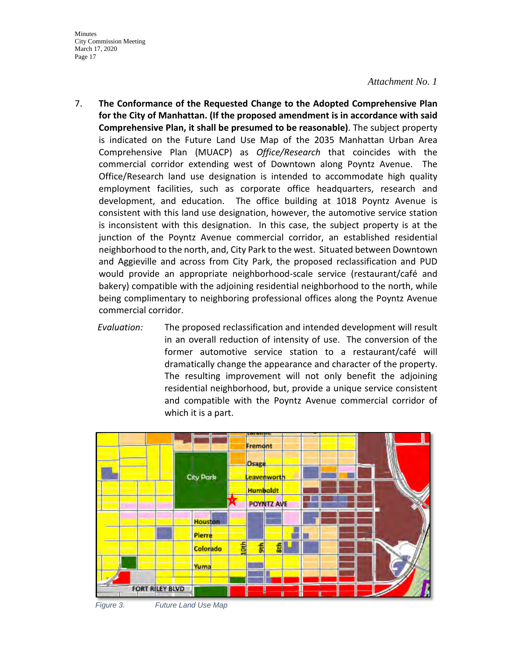#### *Attachment No. 1*

- 7. **The Conformance of the Requested Change to the Adopted Comprehensive Plan for the City of Manhattan. (If the proposed amendment is in accordance with said Comprehensive Plan, it shall be presumed to be reasonable)**. The subject property is indicated on the Future Land Use Map of the 2035 Manhattan Urban Area Comprehensive Plan (MUACP) as *Office/Research* that coincides with the commercial corridor extending west of Downtown along Poyntz Avenue. The Office/Research land use designation is intended to accommodate high quality employment facilities, such as corporate office headquarters, research and development, and education. The office building at 1018 Poyntz Avenue is consistent with this land use designation, however, the automotive service station is inconsistent with this designation. In this case, the subject property is at the junction of the Poyntz Avenue commercial corridor, an established residential neighborhood to the north, and, City Park to the west. Situated between Downtown and Aggieville and across from City Park, the proposed reclassification and PUD would provide an appropriate neighborhood-scale service (restaurant/café and bakery) compatible with the adjoining residential neighborhood to the north, while being complimentary to neighboring professional offices along the Poyntz Avenue commercial corridor.
	- *Evaluation:* The proposed reclassification and intended development will result in an overall reduction of intensity of use. The conversion of the former automotive service station to a restaurant/café will dramatically change the appearance and character of the property. The resulting improvement will not only benefit the adjoining residential neighborhood, but, provide a unique service consistent and compatible with the Poyntz Avenue commercial corridor of which it is a part.



*Figure 3. Future Land Use Map*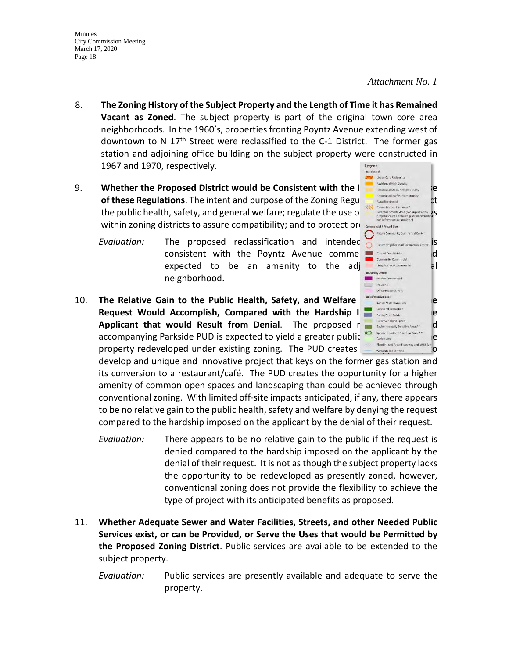#### *Attachment No. 1*

**2003** Urban Core Residential

**Hang Service Com**<br>
Industrial Office-Research Park

- 8. **The Zoning History of the Subject Property and the Length of Time it has Remained Vacant as Zoned**. The subject property is part of the original town core area neighborhoods. In the 1960's, properties fronting Poyntz Avenue extending west of downtown to N  $17<sup>th</sup>$  Street were reclassified to the C-1 District. The former gas station and adjoining office building on the subject property were constructed in 1967 and 1970, respectively.
- 9. **Whether the Proposed District would be Consistent with the International Magic December 12 of these Regulations**. The intent and purpose of the Zoning Regulations is to protect the public health, safety, and general welfare; regulate the use of the state of the state of the state of the state of the state of the state of the state of the state of the state of the state of the state of the state o within zoning districts to assure compatibility; and to protect property commercial/Mixed Use
	- Evaluation: The proposed reclassification and intended Contenter and the development is a second term is a second in the second of content is a second content is a second content is a second content is a second content is  $consistent$  with the Poyntz Avenue comme  $\blacksquare$ expected to be an amenity to the adj<sub>industrial/Office</sub> all neighborhood.
- 10. **The Relative Gain to the Public Health, Safety, and Welfare that Denial of the Cubic Constant Constant Constant Constant Constant Constant Constant Constant Constant Constant Constant Constant Constant Constant Cons Request Would Accomplish, Compared with the Hardship I MARGSHIP AND CONFIDENT CONFIDENT CONFIDENT CONFIDENT CONFIDENT** Applicant that would Result from Denial. The proposed recolution and the state of the contract of the contract of the contract of the contract of the contract of the contract of the contract of the contract of the contract accompanying Parkside PUD is expected to yield a greater public **believed** by the number of the number of the number property redeveloped under existing zoning. The PUD creates the opportunity to opportunity to

develop and unique and innovative project that keys on the former gas station and its conversion to a restaurant/café. The PUD creates the opportunity for a higher amenity of common open spaces and landscaping than could be achieved through conventional zoning. With limited off-site impacts anticipated, if any, there appears to be no relative gain to the public health, safety and welfare by denying the request compared to the hardship imposed on the applicant by the denial of their request.

- *Evaluation:* There appears to be no relative gain to the public if the request is denied compared to the hardship imposed on the applicant by the denial of their request. It is not as though the subject property lacks the opportunity to be redeveloped as presently zoned, however, conventional zoning does not provide the flexibility to achieve the type of project with its anticipated benefits as proposed.
- 11. **Whether Adequate Sewer and Water Facilities, Streets, and other Needed Public Services exist, or can be Provided, or Serve the Uses that would be Permitted by the Proposed Zoning District**. Public services are available to be extended to the subject property.
	- *Evaluation:* Public services are presently available and adequate to serve the property.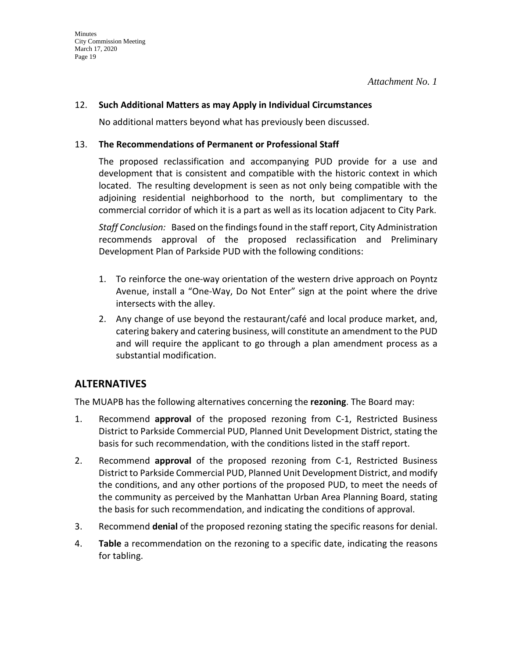## 12. **Such Additional Matters as may Apply in Individual Circumstances**

No additional matters beyond what has previously been discussed.

### 13. **The Recommendations of Permanent or Professional Staff**

The proposed reclassification and accompanying PUD provide for a use and development that is consistent and compatible with the historic context in which located. The resulting development is seen as not only being compatible with the adjoining residential neighborhood to the north, but complimentary to the commercial corridor of which it is a part as well as its location adjacent to City Park.

*Staff Conclusion:* Based on the findings found in the staff report, City Administration recommends approval of the proposed reclassification and Preliminary Development Plan of Parkside PUD with the following conditions:

- 1. To reinforce the one-way orientation of the western drive approach on Poyntz Avenue, install a "One-Way, Do Not Enter" sign at the point where the drive intersects with the alley.
- 2. Any change of use beyond the restaurant/café and local produce market, and, catering bakery and catering business, will constitute an amendment to the PUD and will require the applicant to go through a plan amendment process as a substantial modification.

# **ALTERNATIVES**

The MUAPB has the following alternatives concerning the **rezoning**. The Board may:

- 1. Recommend **approval** of the proposed rezoning from C-1, Restricted Business District to Parkside Commercial PUD, Planned Unit Development District, stating the basis for such recommendation, with the conditions listed in the staff report.
- 2. Recommend **approval** of the proposed rezoning from C-1, Restricted Business District to Parkside Commercial PUD, Planned Unit Development District, and modify the conditions, and any other portions of the proposed PUD, to meet the needs of the community as perceived by the Manhattan Urban Area Planning Board, stating the basis for such recommendation, and indicating the conditions of approval.
- 3. Recommend **denial** of the proposed rezoning stating the specific reasons for denial.
- 4. **Table** a recommendation on the rezoning to a specific date, indicating the reasons for tabling.